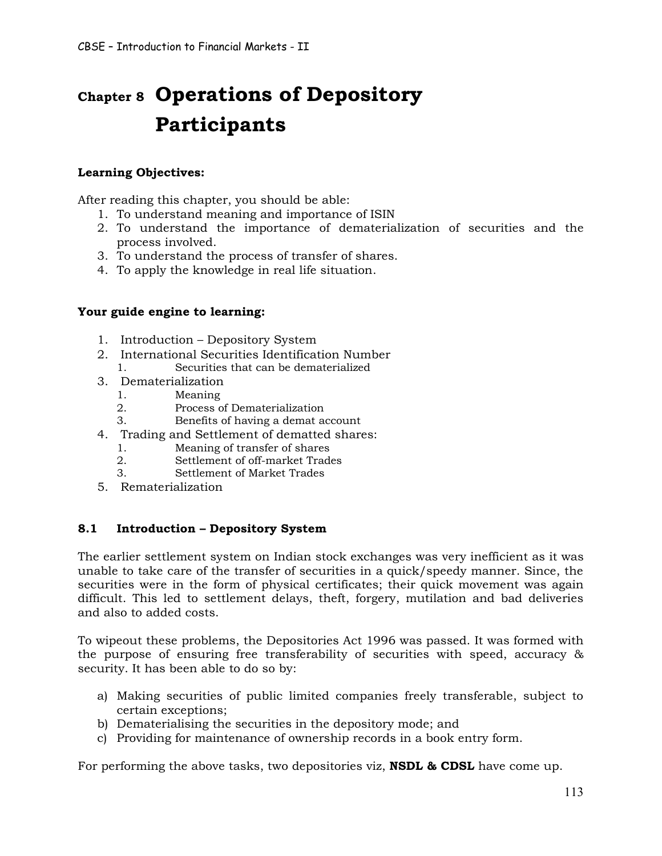# **Chapter 8 Operations of Depository Participants**

# **Learning Objectives:**

After reading this chapter, you should be able:

- 1. To understand meaning and importance of ISIN
- 2. To understand the importance of dematerialization of securities and the process involved.
- 3. To understand the process of transfer of shares.
- 4. To apply the knowledge in real life situation.

# **Your guide engine to learning:**

- 1. Introduction Depository System
- 2. International Securities Identification Number
	- 1. Securities that can be dematerialized
- 3. Dematerialization
	- 1. Meaning
	- 2. Process of Dematerialization
	- 3. Benefits of having a demat account
- 4. Trading and Settlement of dematted shares:
	- 1. Meaning of transfer of shares
	- 2. Settlement of off-market Trades
	- 3. Settlement of Market Trades
- 5. Rematerialization

# **8.1 Introduction – Depository System**

The earlier settlement system on Indian stock exchanges was very inefficient as it was unable to take care of the transfer of securities in a quick/speedy manner. Since, the securities were in the form of physical certificates; their quick movement was again difficult. This led to settlement delays, theft, forgery, mutilation and bad deliveries and also to added costs.

To wipeout these problems, the Depositories Act 1996 was passed. It was formed with the purpose of ensuring free transferability of securities with speed, accuracy & security. It has been able to do so by:

- a) Making securities of public limited companies freely transferable, subject to certain exceptions;
- b) Dematerialising the securities in the depository mode; and
- c) Providing for maintenance of ownership records in a book entry form.

For performing the above tasks, two depositories viz, **NSDL & CDSL** have come up.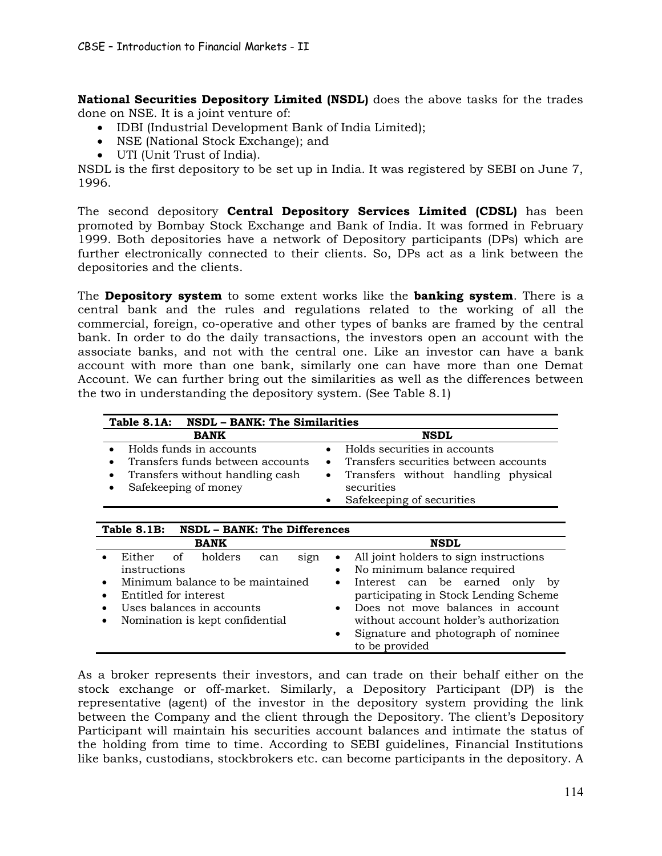**National Securities Depository Limited (NSDL)** does the above tasks for the trades done on NSE. It is a joint venture of:

- · IDBI (Industrial Development Bank of India Limited);
- · NSE (National Stock Exchange); and
- · UTI (Unit Trust of India).

NSDL is the first depository to be set up in India. It was registered by SEBI on June 7, 1996.

The second depository **Central Depository Services Limited (CDSL)** has been promoted by Bombay Stock Exchange and Bank of India. It was formed in February 1999. Both depositories have a network of Depository participants (DPs) which are further electronically connected to their clients. So, DPs act as a link between the depositories and the clients.

The **Depository system** to some extent works like the **banking system**. There is a central bank and the rules and regulations related to the working of all the commercial, foreign, co-operative and other types of banks are framed by the central bank. In order to do the daily transactions, the investors open an account with the associate banks, and not with the central one. Like an investor can have a bank account with more than one bank, similarly one can have more than one Demat Account. We can further bring out the similarities as well as the differences between the two in understanding the depository system. (See Table 8.1)

| Table 8.1A: NSDL - BANK: The Similarities                                                                                           |                                                                                                                                           |
|-------------------------------------------------------------------------------------------------------------------------------------|-------------------------------------------------------------------------------------------------------------------------------------------|
| <b>BANK</b>                                                                                                                         | <b>NSDL</b>                                                                                                                               |
| Holds funds in accounts<br>Transfers funds between accounts<br>Transfers without handling cash<br>$\bullet$<br>Safekeeping of money | Holds securities in accounts<br>Transfers securities between accounts<br>$\bullet$<br>• Transfers without handling physical<br>securities |
|                                                                                                                                     | Safekeeping of securities                                                                                                                 |

| Table 8.1B: NSDL - BANK: The Differences                                     |                                                                                                              |  |
|------------------------------------------------------------------------------|--------------------------------------------------------------------------------------------------------------|--|
| <b>BANK</b>                                                                  | <b>NSDL</b>                                                                                                  |  |
| holders<br>Either<br>οf<br>sign<br>can<br>instructions                       | All joint holders to sign instructions<br>$\bullet$<br>No minimum balance required<br>$\bullet$              |  |
| Minimum balance to be maintained<br>$\bullet$                                | Interest can be earned only by<br>$\bullet$                                                                  |  |
| Entitled for interest<br>$\bullet$<br>Uses balances in accounts<br>$\bullet$ | participating in Stock Lending Scheme<br>Does not move balances in account<br>$\bullet$                      |  |
| Nomination is kept confidential<br>$\bullet$                                 | without account holder's authorization<br>Signature and photograph of nominee<br>$\bullet$<br>to be provided |  |

As a broker represents their investors, and can trade on their behalf either on the stock exchange or off-market. Similarly, a Depository Participant (DP) is the representative (agent) of the investor in the depository system providing the link between the Company and the client through the Depository. The client's Depository Participant will maintain his securities account balances and intimate the status of the holding from time to time. According to SEBI guidelines, Financial Institutions like banks, custodians, stockbrokers etc. can become participants in the depository. A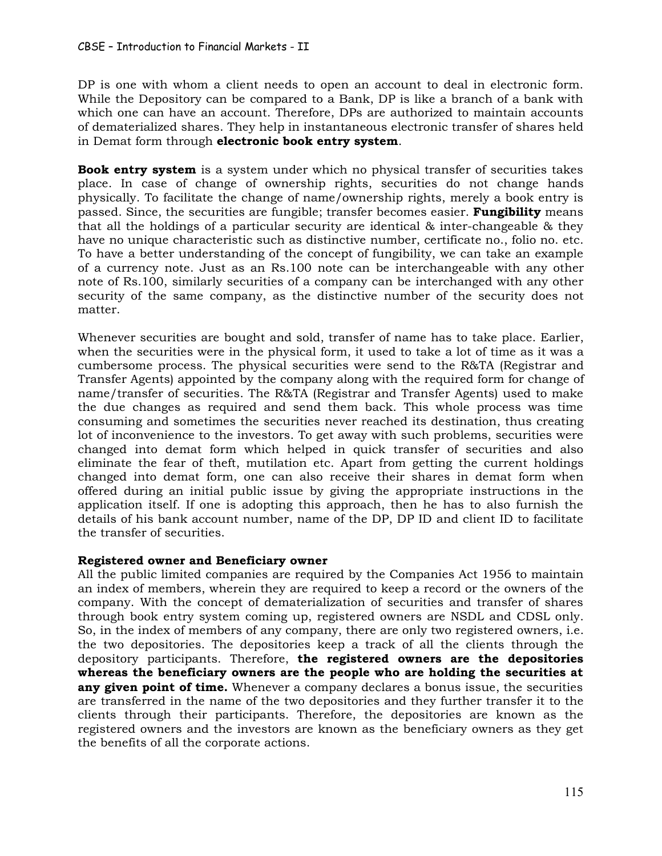DP is one with whom a client needs to open an account to deal in electronic form. While the Depository can be compared to a Bank, DP is like a branch of a bank with which one can have an account. Therefore, DPs are authorized to maintain accounts of dematerialized shares. They help in instantaneous electronic transfer of shares held in Demat form through **electronic book entry system**.

**Book entry system** is a system under which no physical transfer of securities takes place. In case of change of ownership rights, securities do not change hands physically. To facilitate the change of name/ownership rights, merely a book entry is passed. Since, the securities are fungible; transfer becomes easier. **Fungibility** means that all the holdings of a particular security are identical & inter-changeable & they have no unique characteristic such as distinctive number, certificate no., folio no. etc. To have a better understanding of the concept of fungibility, we can take an example of a currency note. Just as an Rs.100 note can be interchangeable with any other note of Rs.100, similarly securities of a company can be interchanged with any other security of the same company, as the distinctive number of the security does not matter.

Whenever securities are bought and sold, transfer of name has to take place. Earlier, when the securities were in the physical form, it used to take a lot of time as it was a cumbersome process. The physical securities were send to the R&TA (Registrar and Transfer Agents) appointed by the company along with the required form for change of name/transfer of securities. The R&TA (Registrar and Transfer Agents) used to make the due changes as required and send them back. This whole process was time consuming and sometimes the securities never reached its destination, thus creating lot of inconvenience to the investors. To get away with such problems, securities were changed into demat form which helped in quick transfer of securities and also eliminate the fear of theft, mutilation etc. Apart from getting the current holdings changed into demat form, one can also receive their shares in demat form when offered during an initial public issue by giving the appropriate instructions in the application itself. If one is adopting this approach, then he has to also furnish the details of his bank account number, name of the DP, DP ID and client ID to facilitate the transfer of securities.

# **Registered owner and Beneficiary owner**

All the public limited companies are required by the Companies Act 1956 to maintain an index of members, wherein they are required to keep a record or the owners of the company. With the concept of dematerialization of securities and transfer of shares through book entry system coming up, registered owners are NSDL and CDSL only. So, in the index of members of any company, there are only two registered owners, i.e. the two depositories. The depositories keep a track of all the clients through the depository participants. Therefore, **the registered owners are the depositories whereas the beneficiary owners are the people who are holding the securities at any given point of time.** Whenever a company declares a bonus issue, the securities are transferred in the name of the two depositories and they further transfer it to the clients through their participants. Therefore, the depositories are known as the registered owners and the investors are known as the beneficiary owners as they get the benefits of all the corporate actions.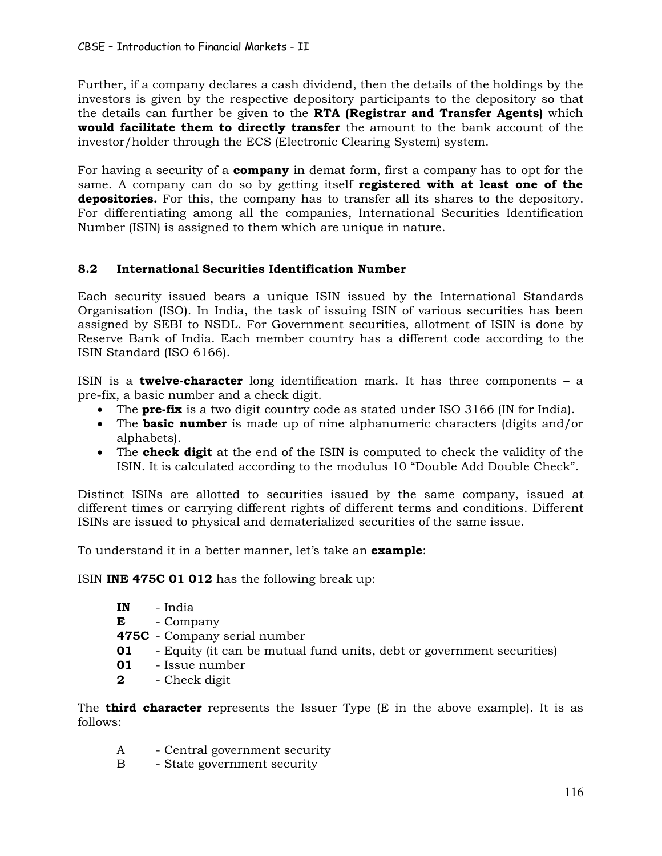Further, if a company declares a cash dividend, then the details of the holdings by the investors is given by the respective depository participants to the depository so that the details can further be given to the **RTA (Registrar and Transfer Agents)** which **would facilitate them to directly transfer** the amount to the bank account of the investor/holder through the ECS (Electronic Clearing System) system.

For having a security of a **company** in demat form, first a company has to opt for the same. A company can do so by getting itself **registered with at least one of the depositories.** For this, the company has to transfer all its shares to the depository. For differentiating among all the companies, International Securities Identification Number (ISIN) is assigned to them which are unique in nature.

# **8.2 International Securities Identification Number**

Each security issued bears a unique ISIN issued by the International Standards Organisation (ISO). In India, the task of issuing ISIN of various securities has been assigned by SEBI to NSDL. For Government securities, allotment of ISIN is done by Reserve Bank of India. Each member country has a different code according to the ISIN Standard (ISO 6166).

ISIN is a **twelve-character** long identification mark. It has three components – a pre-fix, a basic number and a check digit.

- · The **pre-fix** is a two digit country code as stated under ISO 3166 (IN for India).
- · The **basic number** is made up of nine alphanumeric characters (digits and/or alphabets).
- · The **check digit** at the end of the ISIN is computed to check the validity of the ISIN. It is calculated according to the modulus 10 "Double Add Double Check".

Distinct ISINs are allotted to securities issued by the same company, issued at different times or carrying different rights of different terms and conditions. Different ISINs are issued to physical and dematerialized securities of the same issue.

To understand it in a better manner, let's take an **example**:

ISIN **INE 475C 01 012** has the following break up:

- **IN** India
- **E** Company
- **475C** Company serial number
- **01** Equity (it can be mutual fund units, debt or government securities)
- **01** Issue number
- **2** Check digit

The **third character** represents the Issuer Type (E in the above example). It is as follows:

- A Central government security
- B State government security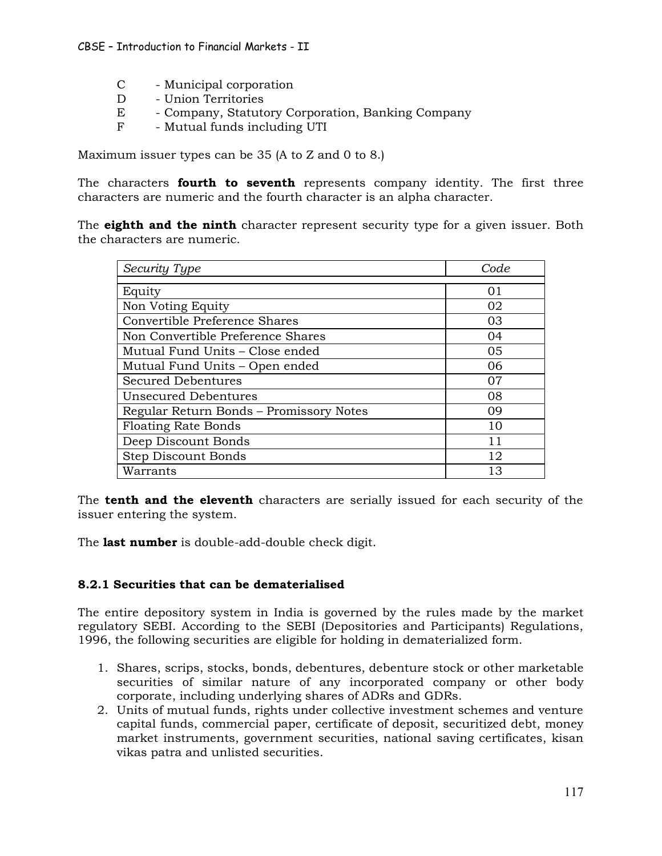- C Municipal corporation
- D Union Territories
- E Company, Statutory Corporation, Banking Company
- F Mutual funds including UTI

Maximum issuer types can be 35 (A to Z and 0 to 8.)

The characters **fourth to seventh** represents company identity. The first three characters are numeric and the fourth character is an alpha character.

The **eighth and the ninth** character represent security type for a given issuer. Both the characters are numeric.

| Security Type                           | Code |
|-----------------------------------------|------|
|                                         |      |
| Equity                                  | 01   |
| Non Voting Equity                       | 02   |
| Convertible Preference Shares           | 03   |
| Non Convertible Preference Shares       | 04   |
| Mutual Fund Units – Close ended         | 05   |
| Mutual Fund Units – Open ended          | 06   |
| <b>Secured Debentures</b>               | 07   |
| Unsecured Debentures                    | 08   |
| Regular Return Bonds - Promissory Notes | 09   |
| <b>Floating Rate Bonds</b>              | 10   |
| Deep Discount Bonds                     | 11   |
| <b>Step Discount Bonds</b>              | 12   |
| Warrants                                | 13   |

The **tenth and the eleventh** characters are serially issued for each security of the issuer entering the system.

The **last number** is double-add-double check digit.

# **8.2.1 Securities that can be dematerialised**

The entire depository system in India is governed by the rules made by the market regulatory SEBI. According to the SEBI (Depositories and Participants) Regulations, 1996, the following securities are eligible for holding in dematerialized form.

- 1. Shares, scrips, stocks, bonds, debentures, debenture stock or other marketable securities of similar nature of any incorporated company or other body corporate, including underlying shares of ADRs and GDRs.
- 2. Units of mutual funds, rights under collective investment schemes and venture capital funds, commercial paper, certificate of deposit, securitized debt, money market instruments, government securities, national saving certificates, kisan vikas patra and unlisted securities.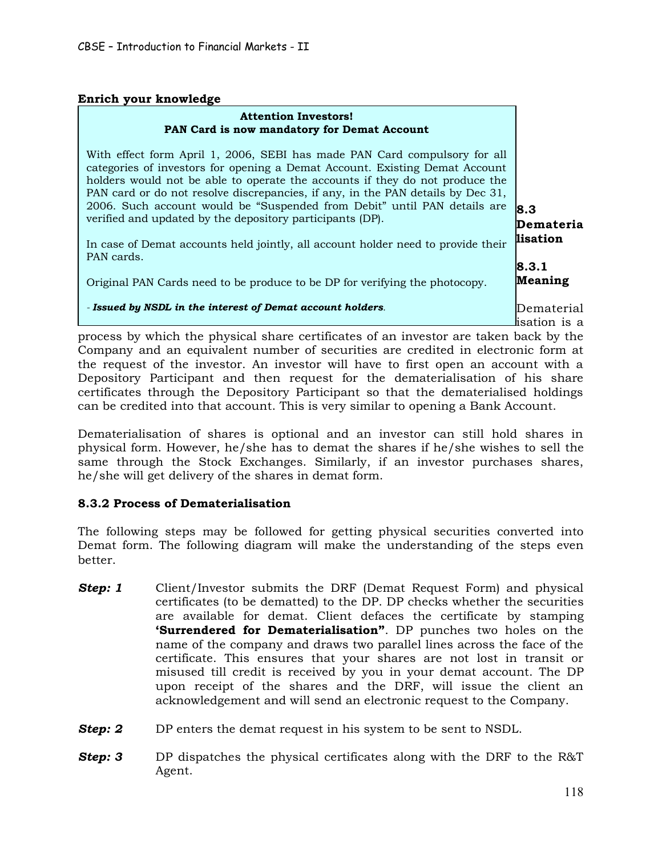# **Enrich your knowledge**

#### **Attention Investors! PAN Card is now mandatory for Demat Account**

**8.3 Demateria** With effect form April 1, 2006, SEBI has made PAN Card compulsory for all categories of investors for opening a Demat Account. Existing Demat Account holders would not be able to operate the accounts if they do not produce the PAN card or do not resolve discrepancies, if any, in the PAN details by Dec 31, 2006. Such account would be "Suspended from Debit" until PAN details are verified and updated by the depository participants (DP).

**lisation 8.3.1** In case of Demat accounts held jointly, all account holder need to provide their PAN cards.

Original PAN Cards need to be produce to be DP for verifying the photocopy.

#### *- Issued by NSDL in the interest of Demat account holders.*

Dematerial isation is a

**Meaning**

process by which the physical share certificates of an investor are taken back by the Company and an equivalent number of securities are credited in electronic form at the request of the investor. An investor will have to first open an account with a Depository Participant and then request for the dematerialisation of his share certificates through the Depository Participant so that the dematerialised holdings can be credited into that account. This is very similar to opening a Bank Account.

Dematerialisation of shares is optional and an investor can still hold shares in physical form. However, he/she has to demat the shares if he/she wishes to sell the same through the Stock Exchanges. Similarly, if an investor purchases shares, he/she will get delivery of the shares in demat form.

# **8.3.2 Process of Dematerialisation**

The following steps may be followed for getting physical securities converted into Demat form. The following diagram will make the understanding of the steps even better.

- **Step: 1** Client/Investor submits the DRF (Demat Request Form) and physical certificates (to be dematted) to the DP. DP checks whether the securities are available for demat. Client defaces the certificate by stamping **'Surrendered for Dematerialisation"**. DP punches two holes on the name of the company and draws two parallel lines across the face of the certificate. This ensures that your shares are not lost in transit or misused till credit is received by you in your demat account. The DP upon receipt of the shares and the DRF, will issue the client an acknowledgement and will send an electronic request to the Company.
- **Step: 2** DP enters the demat request in his system to be sent to NSDL.
- **Step: 3** DP dispatches the physical certificates along with the DRF to the R&T Agent.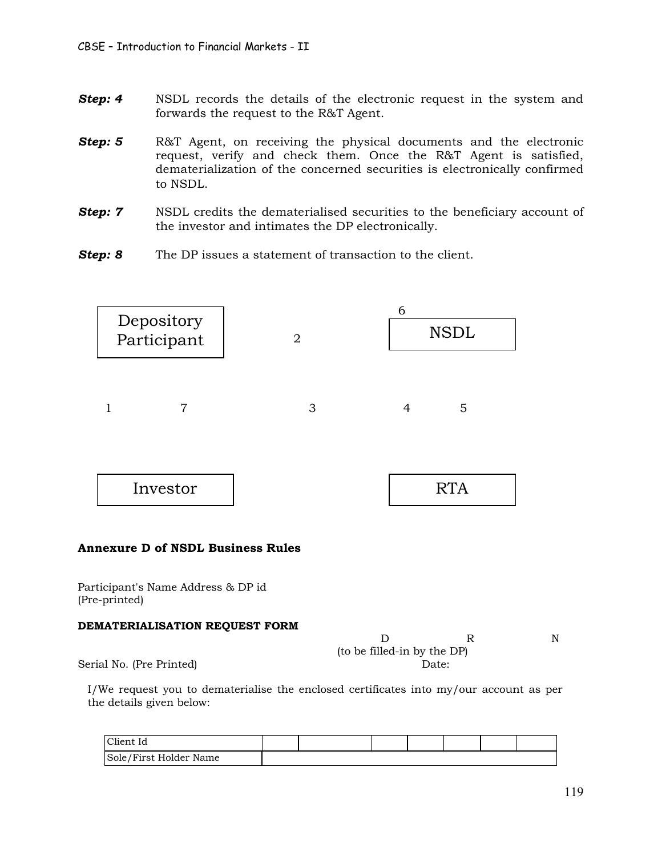- **Step: 4** NSDL records the details of the electronic request in the system and forwards the request to the R&T Agent.
- **Step: 5** R&T Agent, on receiving the physical documents and the electronic request, verify and check them. Once the R&T Agent is satisfied, dematerialization of the concerned securities is electronically confirmed to NSDL.
- **Step: 7** NSDL credits the dematerialised securities to the beneficiary account of the investor and intimates the DP electronically.
- **Step: 8** The DP issues a statement of transaction to the client.



# **DEMATERIALISATION REQUEST FORM**

| (to be filled-in by the DP) |       |  |
|-----------------------------|-------|--|
|                             | Date: |  |

Serial No. (Pre Printed)

I/We request you to dematerialise the enclosed certificates into my/our account as per the details given below:

| Client Id              |  |  |  |  |
|------------------------|--|--|--|--|
| Sole/First Holder Name |  |  |  |  |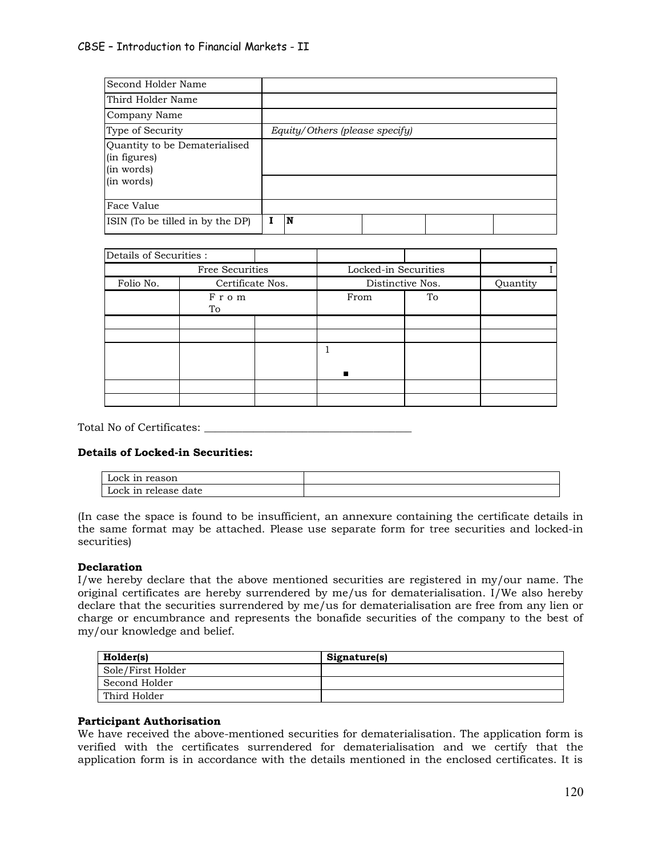| Second Holder Name                                                        |                                |
|---------------------------------------------------------------------------|--------------------------------|
| Third Holder Name                                                         |                                |
| Company Name                                                              |                                |
| Type of Security                                                          | Equity/Others (please specify) |
| Quantity to be Dematerialised<br>(in figures)<br>(in words)<br>(in words) |                                |
| Face Value                                                                |                                |
| ISIN (To be tilled in by the DP)                                          | N                              |

| Details of Securities : |                  |  |                      |    |          |
|-------------------------|------------------|--|----------------------|----|----------|
|                         | Free Securities  |  | Locked-in Securities |    |          |
| Folio No.               | Certificate Nos. |  | Distinctive Nos.     |    | Quantity |
|                         | From<br>To       |  | From                 | To |          |
|                         |                  |  |                      |    |          |
|                         |                  |  |                      |    |          |
|                         |                  |  |                      |    |          |
|                         |                  |  |                      |    |          |
|                         |                  |  |                      |    |          |

Total No of Certificates: \_\_\_\_\_\_\_\_\_\_\_\_\_\_\_\_\_\_\_\_\_\_\_\_\_\_\_\_\_\_\_\_\_\_\_\_\_\_

#### **Details of Locked-in Securities:**

| Lock in reason       |  |
|----------------------|--|
| Lock in release date |  |

(In case the space is found to be insufficient, an annexure containing the certificate details in the same format may be attached. Please use separate form for tree securities and locked-in securities)

#### **Declaration**

I/we hereby declare that the above mentioned securities are registered in my/our name. The original certificates are hereby surrendered by me/us for dematerialisation. I/We also hereby declare that the securities surrendered by me/us for dematerialisation are free from any lien or charge or encumbrance and represents the bonafide securities of the company to the best of my/our knowledge and belief.

| Holder(s)         | Signature(s) |
|-------------------|--------------|
| Sole/First Holder |              |
| Second Holder     |              |
| Third Holder      |              |

#### **Participant Authorisation**

We have received the above-mentioned securities for dematerialisation. The application form is verified with the certificates surrendered for dematerialisation and we certify that the application form is in accordance with the details mentioned in the enclosed certificates. It is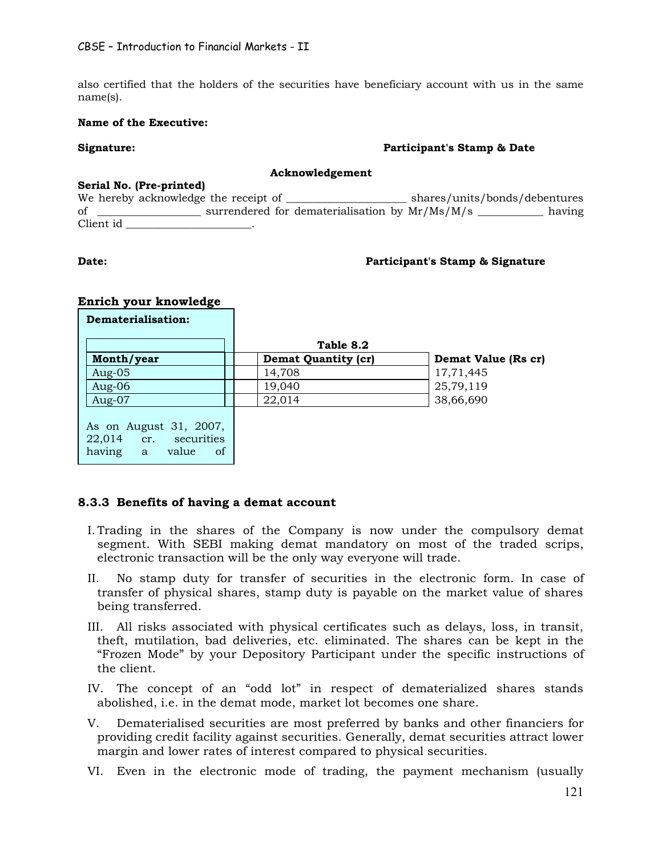also certified that the holders of the securities have beneficiary account with us in the same name(s).

#### **Name of the Executive:**

#### **Signature: Participant's Stamp & Date**

#### **Acknowledgement**

#### **Serial No. (Pre-printed)**

**Enrich your knowledge**

We hereby acknowledge the receipt of \_\_\_\_\_\_\_\_\_\_\_\_\_\_\_\_\_\_\_\_\_\_\_\_\_ shares/units/bonds/debentures of \_\_\_\_\_\_\_\_\_\_\_\_\_\_\_\_\_\_\_ surrendered for dematerialisation by Mr/Ms/M/s \_\_\_\_\_\_\_\_\_\_\_\_ having Client id \_\_\_\_\_\_\_\_\_\_\_\_\_\_\_\_\_\_\_\_\_\_\_.

#### **Date: Participant's Stamp & Signature Participant's Stamp & Signature**

| Dematerialisation:                                                                          |                            |                     |
|---------------------------------------------------------------------------------------------|----------------------------|---------------------|
|                                                                                             | Table 8.2                  |                     |
| Month/year                                                                                  | <b>Demat Quantity (cr)</b> | Demat Value (Rs cr) |
| Aug-05                                                                                      | 14,708                     | 17,71,445           |
| Aug- $06$                                                                                   | 19,040                     | 25,79,119           |
| Aug- $07$                                                                                   | 22,014                     | 38,66,690           |
| As on August 31, 2007,<br>22,014 cr.<br>securities<br>having<br><sub>of</sub><br>value<br>a |                            |                     |

### **8.3.3 Benefits of having a demat account**

- I. Trading in the shares of the Company is now under the compulsory demat segment. With SEBI making demat mandatory on most of the traded scrips, electronic transaction will be the only way everyone will trade.
- II. No stamp duty for transfer of securities in the electronic form. In case of transfer of physical shares, stamp duty is payable on the market value of shares being transferred.
- III. All risks associated with physical certificates such as delays, loss, in transit, theft, mutilation, bad deliveries, etc. eliminated. The shares can be kept in the "Frozen Mode" by your Depository Participant under the specific instructions of the client.
- IV. The concept of an "odd lot" in respect of dematerialized shares stands abolished, i.e. in the demat mode, market lot becomes one share.
- V. Dematerialised securities are most preferred by banks and other financiers for providing credit facility against securities. Generally, demat securities attract lower margin and lower rates of interest compared to physical securities.
- VI. Even in the electronic mode of trading, the payment mechanism (usually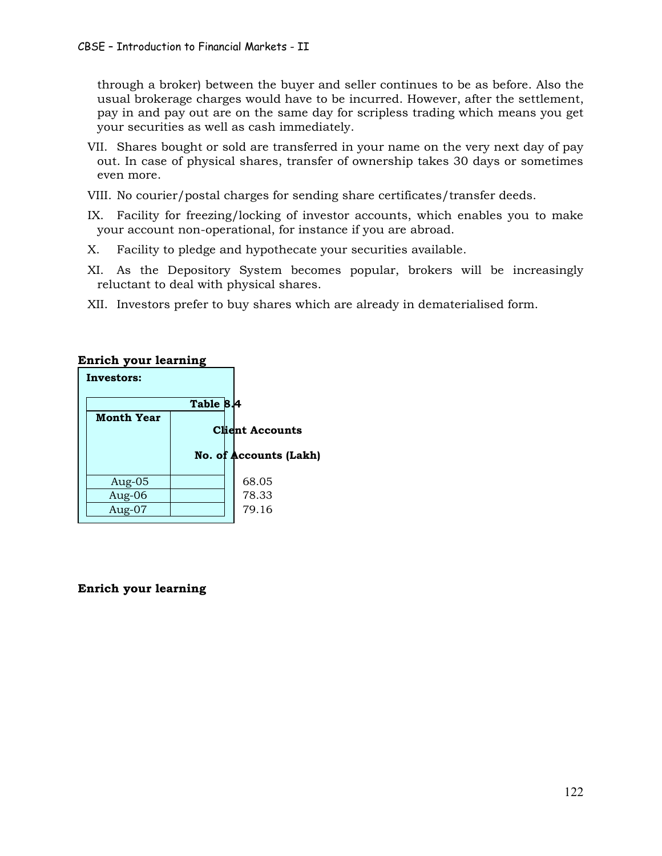through a broker) between the buyer and seller continues to be as before. Also the usual brokerage charges would have to be incurred. However, after the settlement, pay in and pay out are on the same day for scripless trading which means you get your securities as well as cash immediately.

- VII. Shares bought or sold are transferred in your name on the very next day of pay out. In case of physical shares, transfer of ownership takes 30 days or sometimes even more.
- VIII. No courier/postal charges for sending share certificates/transfer deeds.
- IX. Facility for freezing/locking of investor accounts, which enables you to make your account non-operational, for instance if you are abroad.
- X. Facility to pledge and hypothecate your securities available.
- XI. As the Depository System becomes popular, brokers will be increasingly reluctant to deal with physical shares.
- XII. Investors prefer to buy shares which are already in dematerialised form.

| Investors:        |           |                               |
|-------------------|-----------|-------------------------------|
|                   | Table 8.4 |                               |
| <b>Month Year</b> |           | <b>Client Accounts</b>        |
|                   |           | <b>No. of Accounts (Lakh)</b> |
| Aug-05            |           | 68.05                         |
| Aug-06            |           | 78.33                         |
| Aug-07            |           | 79.16                         |

# **Enrich your learning**

# **Enrich your learning**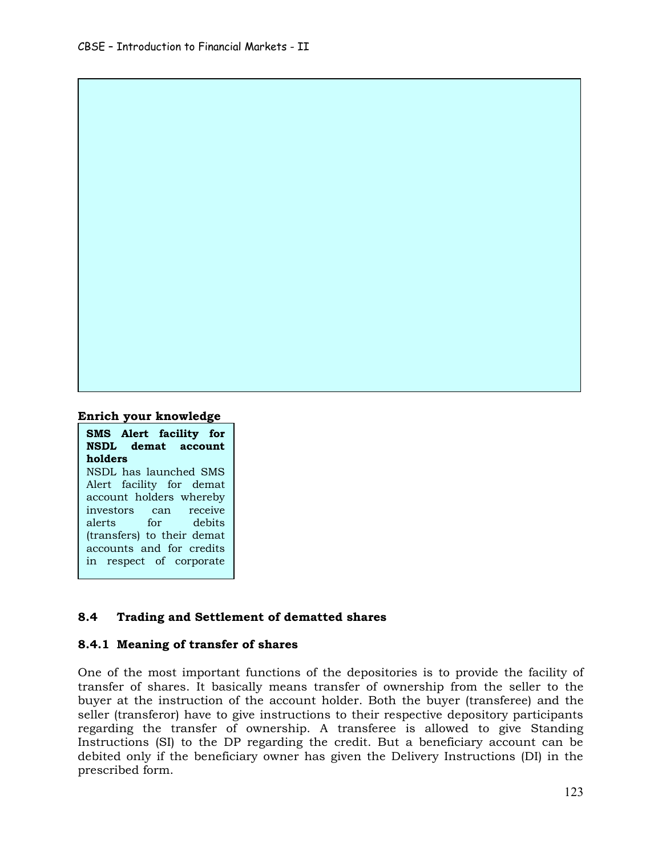#### **Enrich your knowledge**

### **SMS Alert facility for NSDL demat account holders** NSDL has launched SMS

Alert facility for demat account holders whereby investors can receive alerts for debits (transfers) to their demat accounts and for credits in respect of corporate

### **8.4 Trading and Settlement of dematted shares**

### **8.4.1 Meaning of transfer of shares**

One of the most important functions of the depositories is to provide the facility of transfer of shares. It basically means transfer of ownership from the seller to the buyer at the instruction of the account holder. Both the buyer (transferee) and the seller (transferor) have to give instructions to their respective depository participants regarding the transfer of ownership. A transferee is allowed to give Standing Instructions (SI) to the DP regarding the credit. But a beneficiary account can be debited only if the beneficiary owner has given the Delivery Instructions (DI) in the prescribed form.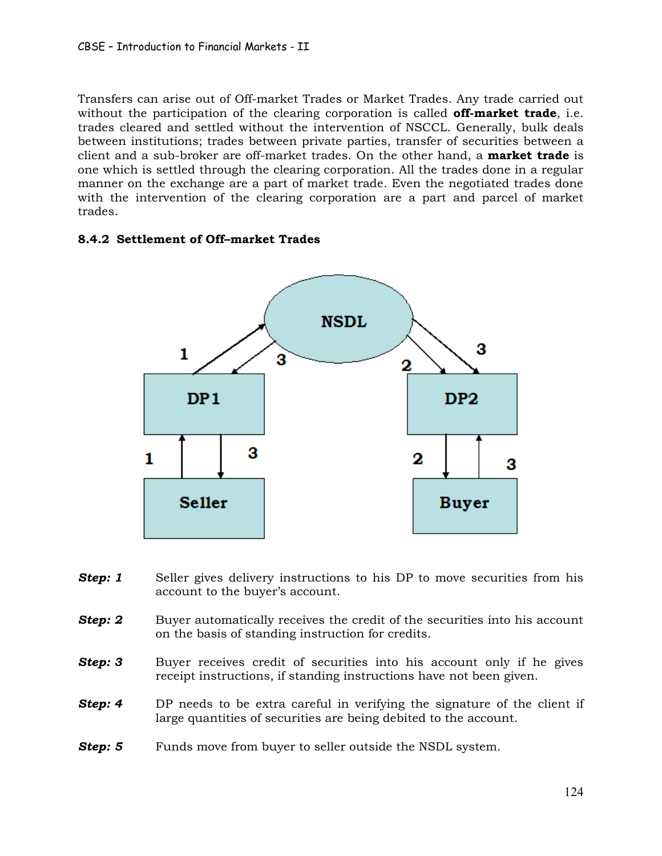Transfers can arise out of Off-market Trades or Market Trades. Any trade carried out without the participation of the clearing corporation is called **off-market trade**, i.e. trades cleared and settled without the intervention of NSCCL. Generally, bulk deals between institutions; trades between private parties, transfer of securities between a client and a sub-broker are off-market trades. On the other hand, a **market trade** is one which is settled through the clearing corporation. All the trades done in a regular manner on the exchange are a part of market trade. Even the negotiated trades done with the intervention of the clearing corporation are a part and parcel of market trades.

# **8.4.2 Settlement of Off–market Trades**



- **Step: 1** Seller gives delivery instructions to his DP to move securities from his account to the buyer's account.
- **Step: 2** Buyer automatically receives the credit of the securities into his account on the basis of standing instruction for credits.
- **Step: 3** Buyer receives credit of securities into his account only if he gives receipt instructions, if standing instructions have not been given.
- **Step: 4** DP needs to be extra careful in verifying the signature of the client if large quantities of securities are being debited to the account.
- **Step: 5** Funds move from buyer to seller outside the NSDL system.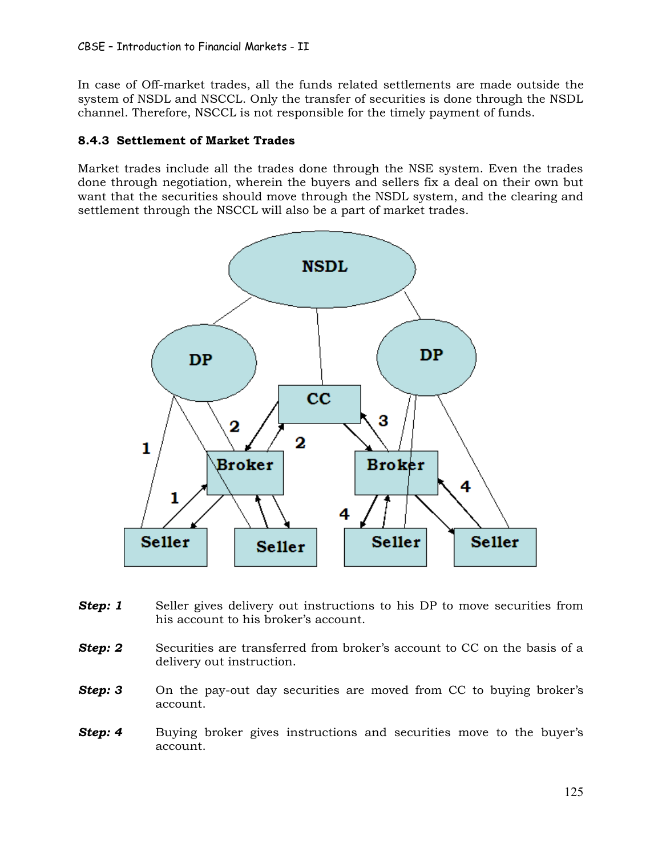In case of Off-market trades, all the funds related settlements are made outside the system of NSDL and NSCCL. Only the transfer of securities is done through the NSDL channel. Therefore, NSCCL is not responsible for the timely payment of funds.

# **8.4.3 Settlement of Market Trades**

Market trades include all the trades done through the NSE system. Even the trades done through negotiation, wherein the buyers and sellers fix a deal on their own but want that the securities should move through the NSDL system, and the clearing and settlement through the NSCCL will also be a part of market trades.



- **Step: 1** Seller gives delivery out instructions to his DP to move securities from his account to his broker's account.
- **Step: 2** Securities are transferred from broker's account to CC on the basis of a delivery out instruction.
- **Step: 3** On the pay-out day securities are moved from CC to buying broker's account.
- **Step: 4** Buying broker gives instructions and securities move to the buyer's account.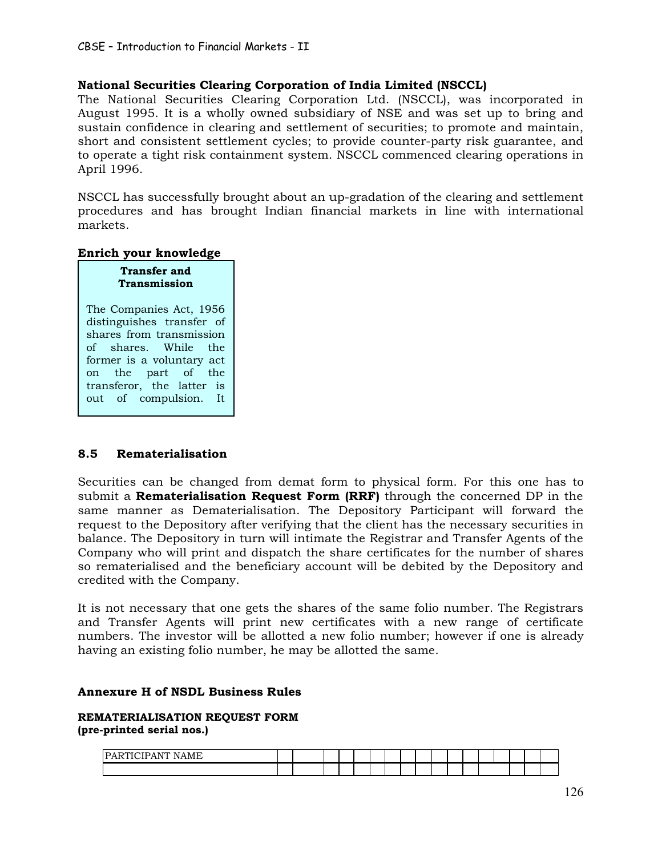## **National Securities Clearing Corporation of India Limited (NSCCL)**

The National Securities Clearing Corporation Ltd. (NSCCL), was incorporated in August 1995. It is a wholly owned subsidiary of NSE and was set up to bring and sustain confidence in clearing and settlement of securities; to promote and maintain, short and consistent settlement cycles; to provide counter-party risk guarantee, and to operate a tight risk containment system. NSCCL commenced clearing operations in April 1996.

NSCCL has successfully brought about an up-gradation of the clearing and settlement procedures and has brought Indian financial markets in line with international markets.

#### **Enrich your knowledge**

| <b>Transfer and</b><br><b>Transmission</b>                                    |
|-------------------------------------------------------------------------------|
| The Companies Act, 1956<br>distinguishes transfer of                          |
| shares from transmission<br>of shares. While the<br>former is a voluntary act |
| on the part of the<br>transferor, the latter is                               |
| out of compulsion. It                                                         |

### **8.5 Rematerialisation**

Securities can be changed from demat form to physical form. For this one has to submit a **Rematerialisation Request Form (RRF)** through the concerned DP in the same manner as Dematerialisation. The Depository Participant will forward the request to the Depository after verifying that the client has the necessary securities in balance. The Depository in turn will intimate the Registrar and Transfer Agents of the Company who will print and dispatch the share certificates for the number of shares so rematerialised and the beneficiary account will be debited by the Depository and credited with the Company.

It is not necessary that one gets the shares of the same folio number. The Registrars and Transfer Agents will print new certificates with a new range of certificate numbers. The investor will be allotted a new folio number; however if one is already having an existing folio number, he may be allotted the same.

#### **Annexure H of NSDL Business Rules**

#### **REMATERIALISATION REQUEST FORM (pre-printed serial nos.)**

| $- - -$<br>$\overline{ }$<br>$- - - -$<br>IP<br>$\mathbf{M}$ |  |  |  |  |  |  |  |  |  |
|--------------------------------------------------------------|--|--|--|--|--|--|--|--|--|
|                                                              |  |  |  |  |  |  |  |  |  |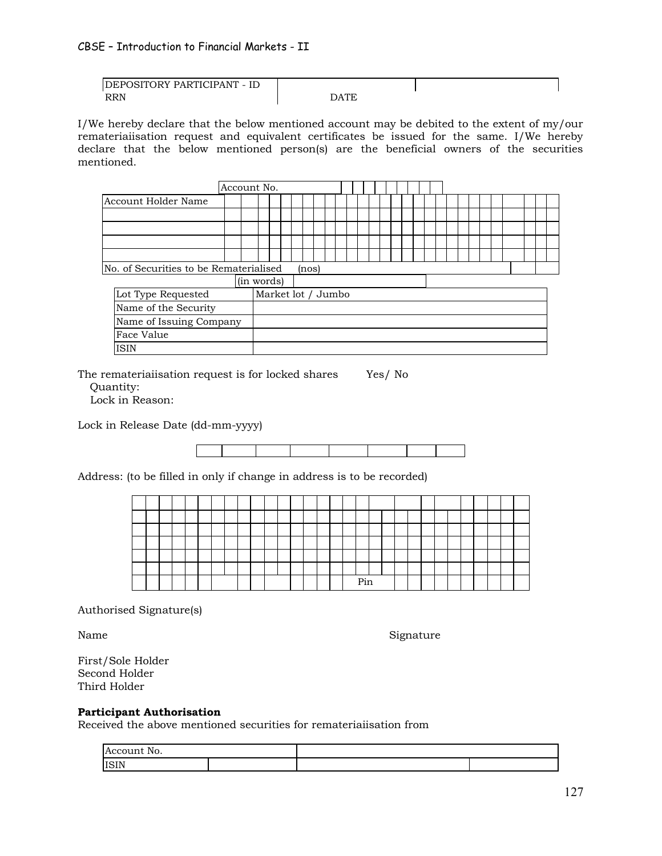| DEPOSITORY PARTICIPANT - ID |             |  |
|-----------------------------|-------------|--|
| <b>RRN</b>                  | <b>DATE</b> |  |

I/We hereby declare that the below mentioned account may be debited to the extent of my/our remateriaiisation request and equivalent certificates be issued for the same. I/We hereby declare that the below mentioned person(s) are the beneficial owners of the securities mentioned.

|  | No. of Securities to be Rematerialised |  | (nos) |  |  |  |  |  |  |  |  |  |
|--|----------------------------------------|--|-------|--|--|--|--|--|--|--|--|--|

|                         | (in words)         |
|-------------------------|--------------------|
| Lot Type Requested      | Market lot / Jumbo |
| Name of the Security    |                    |
| Name of Issuing Company |                    |
| Face Value              |                    |
| <b>ISIN</b>             |                    |

The remateriaiisation request is for locked shares Yes/ No

Quantity:

Lock in Reason:

Lock in Release Date (dd-mm-yyyy)

Address: (to be filled in only if change in address is to be recorded)

|  |  |  |  |  |  |  |  | Pin |  |  |  |  |  |  |
|--|--|--|--|--|--|--|--|-----|--|--|--|--|--|--|

Authorised Signature(s)

Name Signature

First/Sole Holder Second Holder Third Holder

### **Participant Authorisation**

Received the above mentioned securities for remateriaiisation from

| Account No. |  |  |
|-------------|--|--|
| <b>ISIN</b> |  |  |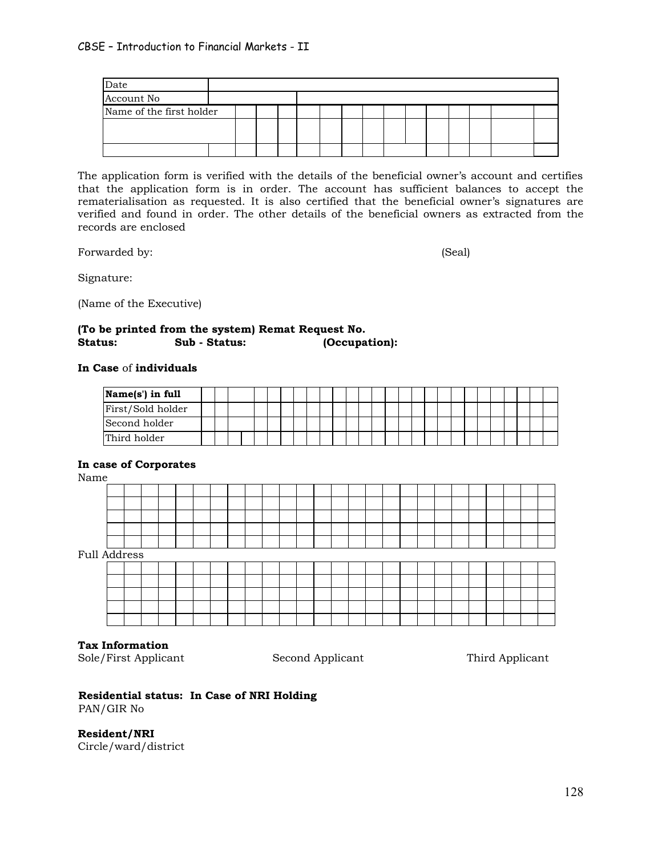| Date                     |  |  |  |  |  |  |  |  |
|--------------------------|--|--|--|--|--|--|--|--|
| Account No               |  |  |  |  |  |  |  |  |
| Name of the first holder |  |  |  |  |  |  |  |  |
|                          |  |  |  |  |  |  |  |  |
|                          |  |  |  |  |  |  |  |  |
|                          |  |  |  |  |  |  |  |  |

The application form is verified with the details of the beneficial owner's account and certifies that the application form is in order. The account has sufficient balances to accept the rematerialisation as requested. It is also certified that the beneficial owner's signatures are verified and found in order. The other details of the beneficial owners as extracted from the records are enclosed

Forwarded by: (Seal)

Signature:

(Name of the Executive)

#### **(To be printed from the system) Remat Request No. Status: Sub - Status: (Occupation):**

#### **In Case** of **individuals**

| Name(s') in full  |  |  |  |  |  |  |  |  |  |  |  |  |  |  |
|-------------------|--|--|--|--|--|--|--|--|--|--|--|--|--|--|
| First/Sold holder |  |  |  |  |  |  |  |  |  |  |  |  |  |  |
| Second holder     |  |  |  |  |  |  |  |  |  |  |  |  |  |  |
| Third holder      |  |  |  |  |  |  |  |  |  |  |  |  |  |  |

#### **In case of Corporates**

Name

| .            |  |  |  |  |  |  |  |  |  |  |  |  |  |
|--------------|--|--|--|--|--|--|--|--|--|--|--|--|--|
|              |  |  |  |  |  |  |  |  |  |  |  |  |  |
|              |  |  |  |  |  |  |  |  |  |  |  |  |  |
|              |  |  |  |  |  |  |  |  |  |  |  |  |  |
|              |  |  |  |  |  |  |  |  |  |  |  |  |  |
|              |  |  |  |  |  |  |  |  |  |  |  |  |  |
| Full Address |  |  |  |  |  |  |  |  |  |  |  |  |  |
|              |  |  |  |  |  |  |  |  |  |  |  |  |  |
|              |  |  |  |  |  |  |  |  |  |  |  |  |  |
|              |  |  |  |  |  |  |  |  |  |  |  |  |  |
|              |  |  |  |  |  |  |  |  |  |  |  |  |  |
|              |  |  |  |  |  |  |  |  |  |  |  |  |  |
|              |  |  |  |  |  |  |  |  |  |  |  |  |  |

### **Tax Information**

Sole/First Applicant Second Applicant Third Applicant

#### **Residential status: In Case of NRI Holding** PAN/GIR No

**Resident/NRI** Circle/ward/district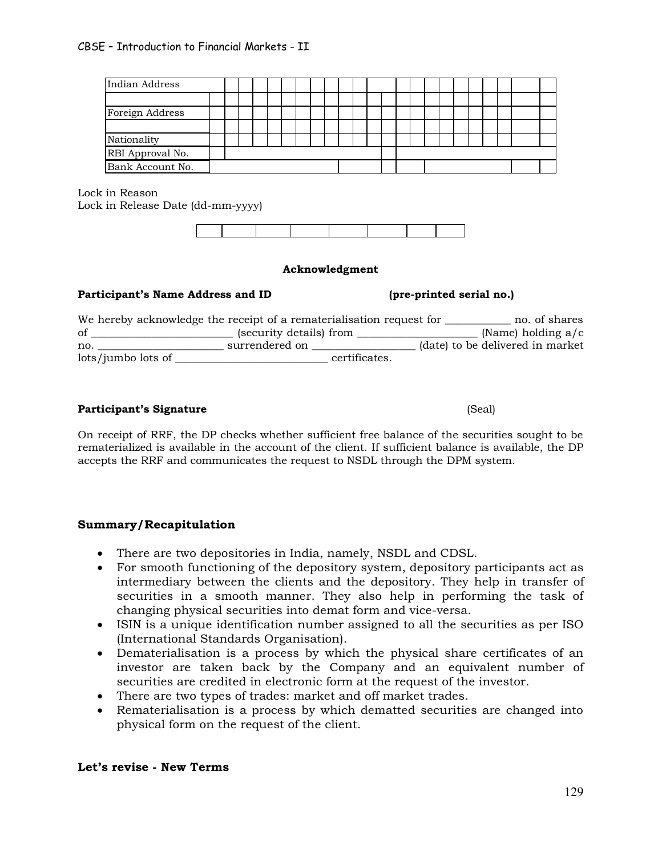| Indian Address   |  |  |  |  |  |  |  |  |  |  |  |
|------------------|--|--|--|--|--|--|--|--|--|--|--|
|                  |  |  |  |  |  |  |  |  |  |  |  |
| Foreign Address  |  |  |  |  |  |  |  |  |  |  |  |
|                  |  |  |  |  |  |  |  |  |  |  |  |
| Nationality      |  |  |  |  |  |  |  |  |  |  |  |
| RBI Approval No. |  |  |  |  |  |  |  |  |  |  |  |
| Bank Account No. |  |  |  |  |  |  |  |  |  |  |  |

Lock in Reason Lock in Release Date (dd-mm-yyyy)

# **Acknowledgment**

# **Participant's Name Address and ID (pre-printed serial no.)**

|                    | We hereby acknowledge the receipt of a rematerialisation request for |                                  | no. of shares |
|--------------------|----------------------------------------------------------------------|----------------------------------|---------------|
| of                 | (security details) from                                              | (Name) holding $a/c$             |               |
| no.                | surrendered on                                                       | (date) to be delivered in market |               |
| lots/jumbo lots of | certificates.                                                        |                                  |               |

# **Participant's Signature**   $(Scal)$

On receipt of RRF, the DP checks whether sufficient free balance of the securities sought to be rematerialized is available in the account of the client. If sufficient balance is available, the DP accepts the RRF and communicates the request to NSDL through the DPM system.

# **Summary/Recapitulation**

- · There are two depositories in India, namely, NSDL and CDSL.
- · For smooth functioning of the depository system, depository participants act as intermediary between the clients and the depository. They help in transfer of securities in a smooth manner. They also help in performing the task of changing physical securities into demat form and vice-versa.
- · ISIN is a unique identification number assigned to all the securities as per ISO (International Standards Organisation).
- · Dematerialisation is a process by which the physical share certificates of an investor are taken back by the Company and an equivalent number of securities are credited in electronic form at the request of the investor.
- · There are two types of trades: market and off market trades.
- · Rematerialisation is a process by which dematted securities are changed into physical form on the request of the client.

# **Let's revise - New Terms**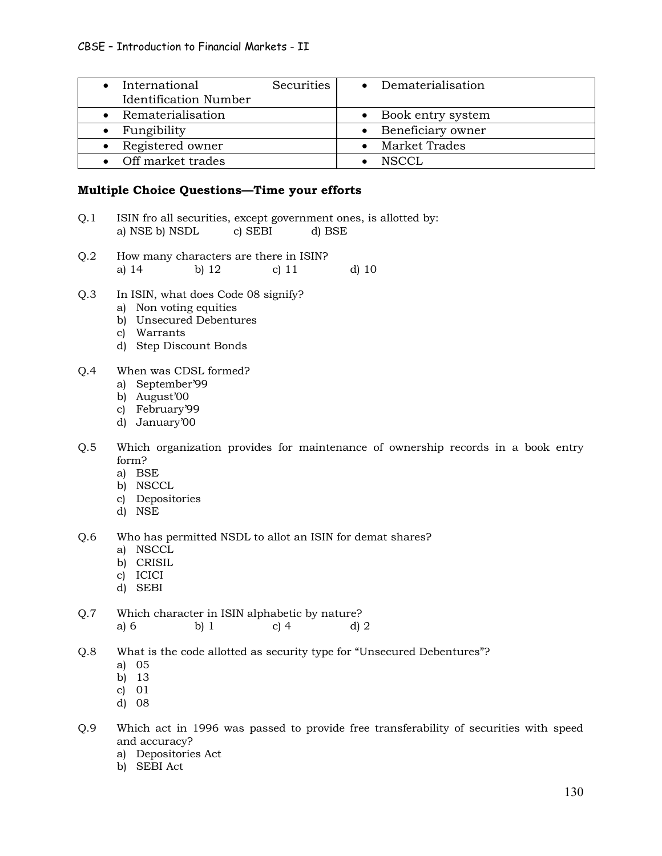| • International<br><b>Identification Number</b> | Securities<br>• Dematerialisation |
|-------------------------------------------------|-----------------------------------|
| • Rematerialisation                             | • Book entry system               |
| $\bullet$ Fungibility                           | • Beneficiary owner               |
| • Registered owner                              | Market Trades                     |
| • Off market trades                             | NSCCL                             |

# **Multiple Choice Questions—Time your efforts**

- Q.1 ISIN fro all securities, except government ones, is allotted by: a) NSE b) NSDL c) SEBI d) BSE
- Q.2 How many characters are there in ISIN? a) 14 b) 12 c) 11 d) 10
- Q.3 In ISIN, what does Code 08 signify?
	- a) Non voting equities
	- b) Unsecured Debentures
	- c) Warrants
	- d) Step Discount Bonds
- Q.4 When was CDSL formed?
	- a) September'99
	- b) August'00
	- c) February'99
	- d) January'00
- Q.5 Which organization provides for maintenance of ownership records in a book entry form?
	- a) BSE
	- b) NSCCL
	- c) Depositories
	- d) NSE
- Q.6 Who has permitted NSDL to allot an ISIN for demat shares?
	- a) NSCCL
	- b) CRISIL
	- c) ICICI
	- d) SEBI
- Q.7 Which character in ISIN alphabetic by nature? a) 6 b) 1 c) 4 d) 2
- Q.8 What is the code allotted as security type for "Unsecured Debentures"?
	- a) 05
	- b) 13
	- c) 01
	- d) 08
- Q.9 Which act in 1996 was passed to provide free transferability of securities with speed and accuracy?
	- a) Depositories Act
	- b) SEBI Act